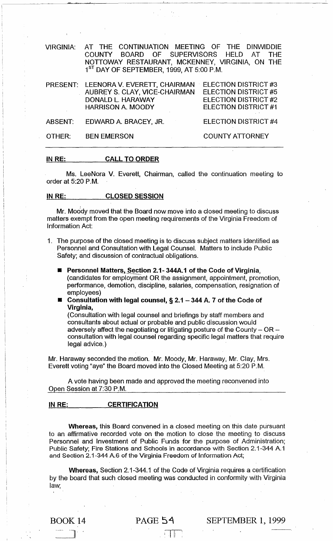VIRGINIA: AT THE CONTINUATION MEETING OF THE DINWIDDIE COUNTY BOARD OF SUPERVISORS HELD AT THE NOTTOWAY RESTAURANT, MCKENNEY, VIRGINIA, ON THE 1<sup>ST</sup> DAY OF SEPTEMBER, 1999, AT 5:00 P.M.

**ســا** 

PRESENT: LEENORA V. EVERETT, CHAIRMAN AUBREY S. CLAY, VICE-CHAIRMAN DONALD L. HARAWAY HARRISON A. MOODY ABSENT: EDWARD A. BRACEY, JR. OTHER: BEN EMERSON ELECTION DISTRICT #3 ELECTION DISTRICT #5 ELECTION DISTRICT #2 ELECTION DISTRICT #1 ELECTION DISTRICT #4 **COUNTY ATTORNEY** 

#### IN RE: CALL TO ORDER

Ms. LeeNora V. Everett, Chairman, called the continuation meeting to order at 5:20 P. M.

#### IN RE: CLOSED SESSION

Mr. Moody moved that the Board now move into a closed meeting to discuss matters exempt from the open meeting requirements of the Virginia Freedom of Information Act:

1. The purpose of the closed meeting is to discuss subject matters identified as Personnel and Consultation with Legal Counsel. Matters to include Public Safety; and discussion of contractual obligations.

Personnel Matters, Section 2.1-344A.1 of the Code of Virginia, (candidates for employment OR the assignment, appointment, promotion, performance, demotion, discipline, salaries, compensation, resignation of employees)

 $\blacksquare$  Consultation with legal counsel, § 2.1 - 344 A. 7 of the Code of Virginia,

(Consultation with !egal counsel and briefings by staff members and consultants about actual or probable and public discussion would adversely affect the negotiating or litigating posture of the County  $-$  OR  $$ consultation with legal counsel regarding specific legal matters that require legal advice.)

Mr. Haraway seconded the motion. Mr. Moody, Mr. Haraway, Mr. Clay, Mrs. Everett voting "aye" the Board moved into the Closed Meeting at 5:20 P.M.

A vote having been made and approved the meeting reconvened into Open Session at 7:30 P.M.

## IN RE: CERTIFICATION

Whereas, this Board convened in a closed meeting on this date pursuant to an affirmative recorded vote on the motion to close the meeting to discuss Personnel and Investment of Public Funds for the purpose of Administration; Public Safety; Fire Stations and Schools in accordance with Section 2.1-344 A.1 and Section 2.1-344 A.6 of the Virginia Freedom of Information Act;

Whereas, Section 2.1-344.1 of the Code of Virginia requires a certification by the board that such closed meeting was conducted in conformity with Virginia law;

BOOK 14

"J

## PAGE 54

ill,

SEPTEMBER 1,1999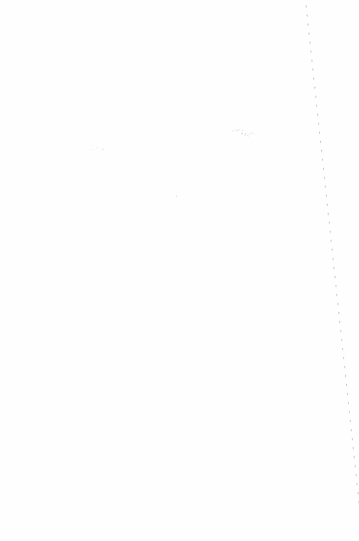# 

 $\label{eq:2.1} \frac{1}{\sqrt{2}}\int_{\mathbb{R}^3}\frac{1}{\sqrt{2}}\left(\frac{1}{\sqrt{2}}\right)^2\frac{1}{\sqrt{2}}\left(\frac{1}{\sqrt{2}}\right)^2\frac{1}{\sqrt{2}}\left(\frac{1}{\sqrt{2}}\right)^2\frac{1}{\sqrt{2}}\left(\frac{1}{\sqrt{2}}\right)^2.$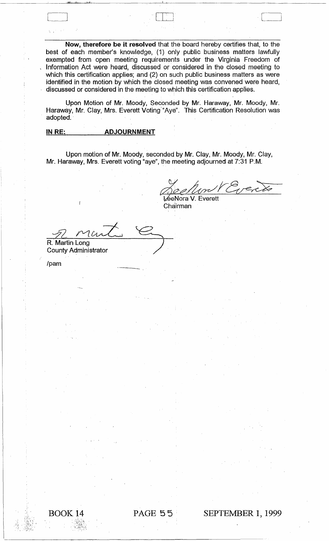**Now, therefore be it** resolved that the board hereby certifies that, to the best of each member's knowledge, (1) only public business matters lawfully exempted from open meeting requirements under the Virginia Freedom of Information Act were heard, discussed or considered in the closed meeting to which this certification applies; and (2) on such public business matters as were identified in the motion by which the closed meeting was convened were heard, discussed or considered in the meeting to which this certification applies.

 $\begin{bmatrix} 1 & 1 \\ 1 & 1 \end{bmatrix}$ 

Upon Motion of Mr. Moody, Seconded by Mr. Haraway, Mr. Moody, Mr. Haraway, Mr. Clay, Mrs. Everett Voting "Aye". This Certification Resolution was adopted. '

#### **IN RE: ADJOURNMENT**

With a subtraction of the control of the control of the control of the control of the control of the control of the control of the control of the control of the control of the control of the control of the control of the c

Upon motion of Mr. Moody, seconded by Mr. Clay, Mr. Moody, Mr. Clay, Mr. Haraway, Mrs. Everett voting "aye", the meeting adjourned at 7:31 P.M.

moed by Mr. Clay, Mr. Moody, Mr. Clay,<br>the meeting adjourned at 7:31 P.M.<br>Contract v. Everett<br>LeeNora V. Everett<br>Chairman

Chairman

R. Martin Long County Administrator

/pam

BOOK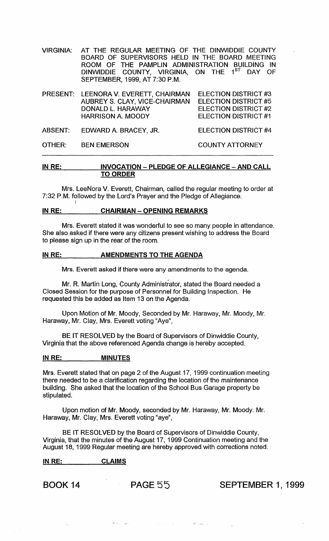VIRGINIA: AT THE REGULAR MEETING OF THE DINWIDDIE COUNTY BOARD OF SUPERVISORS HELD IN THE BOARD MEETING ROOM OF THE PAMPLIN ADMINISTRATION BUILDING IN DINWIDDIE COUNTY, VIRGINIA, ON THE 1<sup>81</sup> DAY OF SEPTEMBER, 1999, AT 7:30 P.M.

|                | PRESENT: LEENORA V. EVERETT, CHAIRMAN<br>AUBREY S. CLAY, VICE-CHAIRMAN<br>DONALD L. HARAWAY<br><b>HARRISON A. MOODY</b> | ELECTION DISTRICT #3<br><b>ELECTION DISTRICT #5</b><br><b>ELECTION DISTRICT #2</b><br><b>ELECTION DISTRICT #1</b> |
|----------------|-------------------------------------------------------------------------------------------------------------------------|-------------------------------------------------------------------------------------------------------------------|
| <b>ABSENT:</b> | EDWARD A. BRACEY, JR.                                                                                                   | <b>ELECTION DISTRICT #4</b>                                                                                       |
| OTHER:         | <b>BEN EMERSON</b>                                                                                                      | <b>COUNTY ATTORNEY</b>                                                                                            |
|                |                                                                                                                         |                                                                                                                   |

## IN RE: INVOCATION - PLEDGE OF ALLEGIANCE - AND CALL TO ORDER

Mrs. LeeNora V. Everett, Chairman, called the regular meeting to order at 7:32 P.M. followed by the Lord's Prayer and the Pledge of Allegiance.

#### IN RE: CHAIRMAN - OPENING REMARKS

Mrs. Everett stated it was wonderful to see so many people in attendance. She also asked if there were any citizens present wishing to address the Board to please sign up in the rear of the room.

#### IN RE: AMENDMENTS TO THE AGENDA

Mrs. Everett asked if there were any amendments to the agenda.

Mr. R. Martin Long, County Administrator, stated the Board needed a Closed Session for the purpose of Personnel for Building Inspection. He requested this be added as Item 13 on the Agenda.

Upon Motion of Mr. Moody, Seconded by Mr. Haraway, Mr. Moody, Mr. Haraway, Mr. Clay, Mrs. Everett voting "Aye",

BE IT RESOLVED by the Board of Supervisors of Dinwiddie County, Virginia that the above referenced Agenda change is hereby accepted.

#### IN RE: MINUTES

Mrs. Everett stated that on page 2 of the August 17, 1999 continuation meeting there needed to be a clarification regarding the location of the maintenance building. She asked that the location of the School Bus Garage property be stipulated.

Upon motion of Mr. Moody, seconded by Mr. Haraway, Mr. Moody. Mr. Haraway, Mr. Clay, Mrs. Everett voting "aye",

BE IT RESOLVED by the Board of Supervisors of Dinwiddie County, Virginia, that the minutes of the August 17, 1999 Continuation meeting and the August 18, 1999 Regular meeting are hereby approved with corrections noted.

IN RE: CLAIMS

 $R_{\rm 1.50\mu\rm{m}}=2.824\pm0.000$ 

**BOOK 14** PAGE 55 SEPTEMBER 1, 1999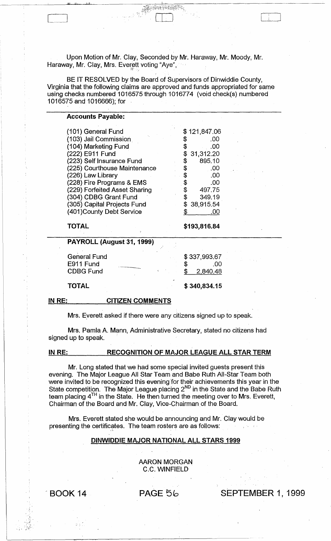Upon Motion of Mr. Clay, Seconded by Mr. Haraway, Mr. Moody, Mr. Haraway, Mr. Clay, Mrs. Everett voting "Aye",  $m$  .  $\sim$ 

a Feringe

BE IT RESOLVED by the Board of Supervisors of Dinwiddie County, Virginia that the following claims are approved and funds appropriated for same using checks numbered 1016575 through 1016774 (void check(s) numbered 1016575 and 1016666); for

#### Accounts Payable: (101) General Fund (103) Jail Commission (104) Marketing Fund (222) E911 Fund (223) Self Insurance Fund (225) Courthouse Maintenance (226) Law Library (228) Fire Programs & EMS (229) Forfeited Asset Sharing (304) CDBG Grant Fund . (305) Capital Projects Fund (401 )County Debt Service TOTAL \$ 121,847.06 \$ .00 .00 \$ 31,312.20<br>\$ 895.10 \$ 895.10 \$ .00 \$ .00 \$ .00<br>\$ 497.75 \$ 497.75<br>\$ 349.19 349.19 \$ 38,915.54  $\$\quad .00$ \$193,816.84

PAYROLL (August 31, 1999)

| <b>General Fund</b> |                                      |  | \$337,993.67 |
|---------------------|--------------------------------------|--|--------------|
| E911 Fund           |                                      |  |              |
| <b>CDBG Fund</b>    | <b><i>Charles and Households</i></b> |  | 2.840.48     |
|                     |                                      |  |              |

TOTAL

#### \$ 340,834.15

PAGE 56 SEPTEMBER 1, 1999

#### IN RE: CITIZEN COMMENTS

Mrs. Eyerett asked if there were any citizens signed up to speak.

Mrs. Pamla A. Mann, Administrative Secretary, stated no citizens had signed up to speak.

#### IN RE: RECOGNITION OF MAJOR LEAGUE ALL STAR TERM

Mr. Long stated that we had some special invited guests present this evening. The Major League All Star Team and Babe Ruth All-Star Team both were invited to be recognized this evening for their achievements this year in the State competition. The Major League placing 2<sup>nD</sup> in the State and the Babe Ruth team placing 4TH in the State. He then turned the meeting over to Mrs. Everett, Chairman of the Board and Mr. Clay, Vice-Chairman of the Board.

Mrs. Everett stated she would be announcing and Mr. Clay would be presenting the certificates. The team rosters are as follows:

#### DINWIDDIE MAJOR NATIONAL ALL STARS 1999

AARON MORGAN C.C. WINFIELD

**BOOK 14**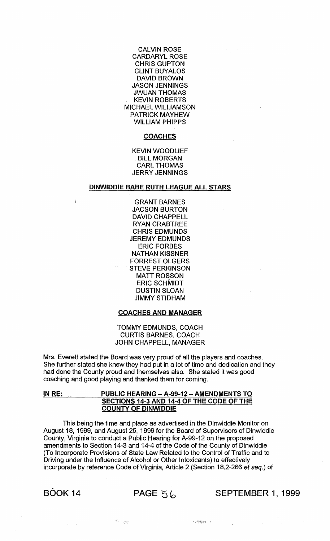CALVIN ROSE CARDARYL ROSE CHRIS GUPTON CLINT BUYALOS DAVID BROWN JASON JENNINGS JWUAN THOMAS KEVIN ROBERTS MICHAEL WILLIAMSON PATRICK MAYHEW WILLIAM PHIPPS

#### **COACHES**

### KEVIN WOODLIEF BILL MORGAN CARL THOMAS JERRY JENNINGS

### DINWIDDIE BABE RUTH LEAGUE ALL STARS

GRANT BARNES JACSON BURTON DAVID CHAPPELL RYAN CRABTREE CHRIS EDMUNDS JEREMY EDMUNDS ERIC FORBES NATHAN KISSNER FORREST OLGERS -STEVE PERKINSON MATT ROSSON ERIC SCHMIDT DUSTIN SLOAN JIMMY STIDHAM

#### COACHES AND MANAGER

TOMMY EDMUNDS, COACH CURTIS BARNES, COACH JOHN CHAPPELL, MANAGER

Mrs. Everett stated the Board was very proud of all the players and coaches. She further stated she knew they had put in a lot of time and dedication and they had done the County proud and themselves also. She stated it was good coaching and good playing and thanked them for coming.

#### IN RE: PUBLIC HEARING - A-99-12 - AMENDMENTS TO SECTIONS 14-3 AND 14-4 OF THE CODE OF THE COUNTY OF DINWIDDIE

This being the time and place as advertised in the Dinwiddie Monitor on August 18, 1999, and August 25, 1999 for the Board of Supervisors of Dinwiddie County, Virginia to conduct a Public Hearing for A-99-12 on the proposed amendments to Section 14-3 and 14-4 of the Code of the County of Dinwiddie (To Incorporate Provisions of State Law Related to the Control of Traffic and to Driving under the Influence of Alcohol or Other Intoxicants) to effectively incorporate by reference Code of Virginia, Article 2 (Section 18.2-266 et seq.) of

 $\overline{1}$ 

 $\mathcal{A}_1 \times \mathcal{A}_2 \times \mathcal{B}_1 \times \mathcal{B}_2 \times \mathcal{B}_1 \times \mathcal{B}_2 \times \mathcal{B}_2 \times \mathcal{B}_1 \times \mathcal{B}_2 \times \mathcal{B}_2 \times \mathcal{B}_2 \times \mathcal{B}_2 \times \mathcal{B}_2 \times \mathcal{B}_2 \times \mathcal{B}_2 \times \mathcal{B}_2 \times \mathcal{B}_2 \times \mathcal{B}_2 \times \mathcal{B}_2 \times \mathcal{B}_2 \times \mathcal{B}_2 \times \mathcal{B}_2 \times \mathcal{B}_2 \times \mathcal{B}_2 \times \mathcal{$ 

 $\overline{BOOK 14}$  PAGE  $56$  SEPTEMBER 1, 1999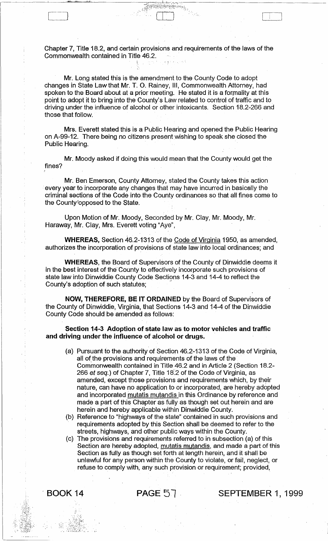Chapter 7, Title 18.2, and certain provisions and requirements of the laws of the Commonwealth contained in Title 46.2.

 $\Box$ 

1.

<u>Wilaya awii immoo aan findi</u>

Mr. Long stated this is the amendment to the County Code to adopt changes in State Law that Mr. T. O. Rainey, III, Commonwealth Attorney, had spoken to the Board about at a prior meeting. He stated it is a formality at this point to adopt it to bring into the County's Law related to control of traffic and to driving under the influence of alcohol or other intoxicants. Section 18.2-266 and those that follow.

Mrs. Everett stated this is a Public Hearing and opened the Public Hearing on A-99-12. There being no citizens present wishing to speak she closed the Public Hearing.

Mr. Moody asked if doing this would mean that the County would get the fines?

Mr. Ben Emerson, County Attorney, stated the County takes this action every year to incorporate any changes that may have incurred in basically the criminal sections of the Code into the County ordinances so that all fines come to the CountY'opposed to the State.

Upon Motion of Mr. Moody, Seconded by Mr. Clay, Mr. Moody, Mr. Haraway, Mr. Clay, Mrs. Everett voting "Aye",

WHEREAS, Section 46.2-1313 of the Code of Virginia 1950, as amended, authorizes the incorporation of provisions of state law into local ordinances; and

WHEREAS, the Board of Supervisors of the County of Dinwiddie deems it in the best interest of the 'County to effectively incorporate such provisions of state law into Dinwiddie County Code Sections 14-3 and 14-4 to reflect the County's adoption of such statutes; -

NOW, THEREFORE, BE IT ORDAINED by the Board of Supervisors of the County of Dinwiddie, Virginia, that Sections 14-3 and 14-4 of the Dinwiddie County Code should be amended as follows:

Section 14-3 Adoption of state law as to motor vehicles and traffic and driving under the influence of alcohol or drugs. .

- (a) Pursuant to the authority of Section 46.2-1313 of the Code of Virginia, all of the provisions and requirements of the laws of the Commonwealth contained in Title 46.2 and in Article 2 (Section 18.2- 266 *et seq.*) of Chapter 7, Title 18.2 of the Code of Virginia, as amended, except those provisions and requirements which, by their nature, can have no application to or incorporated, are hereby adopted and incorporated mutatis mutandis in this Ordinance by reference and made a part of this Chapter as fully as though set out herein and are herein and hereby applicable within Dinwiddie County.
- (b) Reference to "highways of the state" contained in such provisions and requirements adopted by this Section shall be deemed to refer to the streets, highways, and other public ways within the County.
- (c) The provisions and requirements referred to in subsection (a) of this Section are hereby adopted, mutatis mutandis, and made a part of this Section as fully as though set forth at length herein, and it shall be unlawful for any person within the County to violate, or fail, neglect, or refuse to comply with, any such provision or requirement; provided,

BOOK 14 **PAGE 57** SEPTEMBER 1, 1999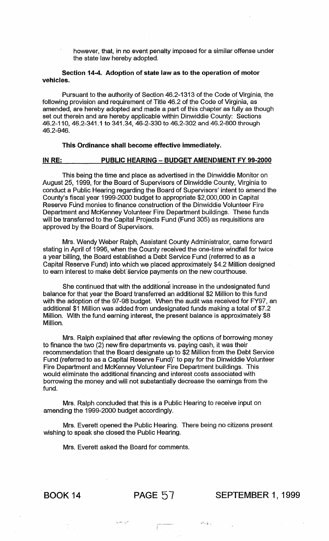however, that, in no event penalty imposed for a similar offense under the state law hereby adopted.

#### Section 14-4. Adoption of state law as to the operation of motor vehicles.

Pursuant to the authority of Section 46.2-1313 of the Code of Virginia, the following provision and requirement of Title 46.2 of the Code of Virginia, as amended, are hereby adopted and made a part of this chapter as fully as though set out therein and are hereby applicable within Dinwiddie County: Sections 46.2-110, 46.2-341.1 to 341.34, 46-2-330 to 46.2-302 and 46.2-800 through 46.2-946.

#### This Ordinance shall become effective immediately.

## IN RE: PUBLIC HEARING - BUDGET AMENDMENT FY 99-2000

This being the time and place as advertised in the Dinwiddie Monitor on August 25, 1999, for the Board of Supervisors of Dinwiddie County, Virginia to conduct a Public Hearing regarding the Board of Supervisors' intent to amend the County's fiscal year 1999-2000 budget to appropriate \$2,000,000 in Capital Reserve Fund monies to finance construction of the Dinwiddie Volunteer Fire Department and McKenney Volunteer Fire Department buildings. These funds will be transferred to the Capital Projects Fund (Fund 305) as requisitions are approved by the Board of Supervisors.

Mrs. Wendy Weber Ralph, Assistant County Administrator, came forward stating in April of 1996, when the County received the one-time windfall for twice a year billing, the Board established a Debt Service Fund (referred to as a Capital Reserve Fund) into which we placed approximately \$4.2 Million designed to earn interest to make debt service payments on the new courthouse.

She continued that with the additional increase in the undesignated fund balance for that year the Board transferred an additional \$2 Million to this fund with the adoption of the 97-98 budget. When the audit was received for FY97, an additional \$1 Million was added from undesignated funds making a total of \$7.2 Million. With the fund earning interest, the present balance is approximately \$8 Million.

Mrs. Ralph explained that after reviewing the options of borrowing money to finance the two (2) new fire departments vs. paying cash, it was their recommendation that the Board designate up to \$2 Million from the Debt Service Fund (referred to as a Capital Reserve Fund)' to pay for the Dinwiddie Volunteer Fire Department and McKenney Volunteer Fire Department buildings. This would eliminate the additional financing and interest costs associated with borrowing the money and will not substantially decrease the earnings from the fund.

Mrs. Ralph concluded that this is a Public Hearing to receive input on amending the 1999-2000 budget accordingly.

Mrs. Everett opened the Public Hearing. There being no citizens present wishing to speak she closed the Public Hearing.

Mrs. Everett asked the Board for comments.

.~ ,l. "". t< •

BOOK 14 **PAGE 57** SEPTEMBER 1, 1999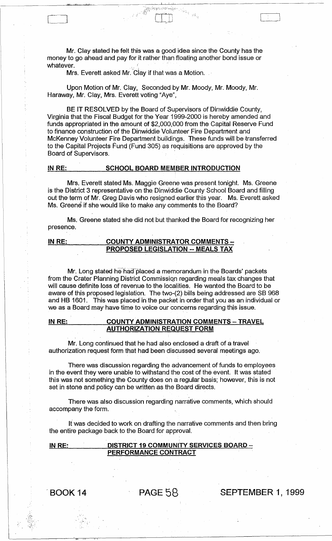Mr. Clay stated he felt this was a good idea since the County has the money to go ahead and pay for it rather than floating another bond issue or whatever.

Mrs. Everett asked Mr. Clay if that was a Motion.

<u>Maaailkanaa radindasta taasta saari ja talvista valtti valtti valtti valtti valtti valtti valtti valtti valtti v</u>

Upon Motion of Mr. Clay, Seconded by Mr. Moody, Mr. Moody, Mr. Haraway, Mr. Clay, Mrs. Everett voting "Aye",

BE IT RESOLVED by the Board of Supervisors of Dinwiddie County, Virginia that the Fiscal Budget for the Year 1999-2000 is hereby amended and funds appropriated in the amount of \$2,000,000 from the Capital Reserve Fund to finance construction of the Dinwiddie Volunteer Fire Department and McKenney Volunteer Fire Department buildings. These funds will be transferred to the Capital Projects Fund (Fund 305) as requisitions are approved by the Board of Supervisors. '

### IN RE: SCHOOL BOARD MEMBER INTRODUCTION

Mrs. Everett stated Ms. Maggie Greene was present tonight. Ms. Greene is the District 3 representative on the, Dinwiddie County School Board and filling out the term of Mr. Greg Davis who resigned earlier this year. Ms. Everett asked Ms. Greene if she would like to make any comments to the Board?

Ms. Greene stated she did not but thanked the Board for recognizing her presence.

## IN RE: COUNTY ADMINISTRATOR COMMENTS -PROPOSED LEGISLATION -- MEALS TAX

Mr. Long stated he had placed a memorandum in the Boards' packets from the Crater Planning District Commission regarding meals tax changes that will cause definite loss of revenue to the localities. He wanted the Board to be aware of this proposed legislation. The two-(2) bills being addressed are SB 968 and HB 1601. This was placed in the packet in order that you as an individual or we as a Board may have time to voice our concerns regarding this issue.

#### IN RE: COUNTY ADMINISTRATION COMMENTS - TRAVEL AUTHORIZATION REQUEST FORM

Mr. Long continued that he had also enclosed a draft of a travel authorization request form that had been discussed several meetings ago.

There was discussion regarding the advancement of funds to employees in the event they were unable to withstand the cost of the event. It was stated this was not something the County does on a regular basis; however, this is not set in stone and policy can be written as the Board directs.

There was also discussion regarding narrative comments, which should accompany the form.

It was decided to work on drafting the narrative comments and then bring the entire package back to the Board for approval. '

#### IN RE: DISTRICT 19 COMMUNITY SERVICES BOARD -PERFORMANCE CONTRACT

'BOOK 14

 $\frac{\omega_{\text{in}}}{\sqrt{\frac{2}{n}}}$ .: ...

'1111 <u>'1111 '1111 '11</u>

PAGE 58 SEPTEMBER 1, 1999

,-----,--J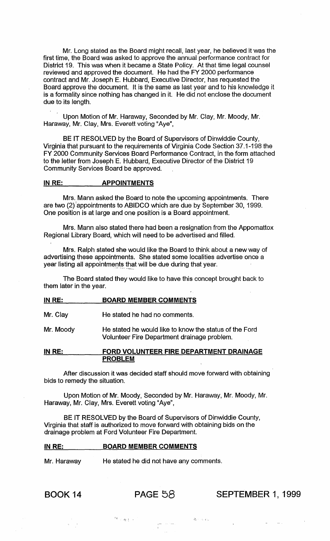Mr. Long stated as the Board might recall, last year, he believed it was the first time, the Board was asked to approve the annual performance contract for District 19. This was when it became a State Policy. At that time legal counsel reviewed and approved the document. He had the FY 2000 performance contract and Mr. Joseph E. Hubbard, Executive Director, has requested the Board approve the document. It is the same as last year and to his knowledge it is a formality since nothing has changed in it. He did not enclose the document due to its length.

Upon Motion of Mr. Haraway, Seconded byMr. Clay, Mr. Moody, Mr. Haraway, Mr. Clay, Mrs. Everett voting "Aye",

BE IT RESOLVED by the Board of Supervisors of Dinwiddie County, Virginia that pursuant to the requirements of Virginia Code Section 37.1-198 the FY 2000 Community Services Board Performance Contract, in the form attached to the letter from Joseph E. Hubbard, Executive Director of the District 19 Community Services Board be approved.

#### IN RE: APPOINTMENTS

Mrs. Mann asked the Board to note the upcoming appointments. There are two (2) 'apPointments to ABIDCO which are due by September 30, 1999. One position is at large and one position is a Board appointment.

Mrs. Mann also stated there had been a resignation from the Appomattox Regional Library Board, which will need to be advertised and filled.

Mrs. Ralph stated she would like the Board to think about a new way of advertising these appointments. She stated some localities advertise once a year listing all appointments that will be due during that year.

The Board stated they would like to have this concept brought back to them later in the year.

| IN RE:    | <b>BOARD MEMBER COMMENTS</b>                                                                          |
|-----------|-------------------------------------------------------------------------------------------------------|
| Mr. Clay  | He stated he had no comments.                                                                         |
| Mr. Moody | He stated he would like to know the status of the Ford<br>Volunteer Fire Department drainage problem. |

IN RE: FORD VOLUNTEER FIRE DEPARTMENT DRAINAGE PROBLEM

After discussion it was decided staff should move forward with obtaining bids to remedy the situation.

Upon Motion of Mr. Moody, Seconded by Mr. Haraway, Mr. Moody, Mr. Haraway, Mr. Clay, Mrs. Everett voting "Aye",

BE IT RESOLVED by the Board of Supervisors of Dinwiddie County, Virginia that staff is authorized to move forward with obtaining bids on the drainage problem at Ford Volunteer Fire Department.

#### IN RE: BOARD MEMBER COMMENTS

ra<br>'<sup>a</sup> ca

Mr. Haraway He stated he did not have any comments.

高いっぱん

BOOK 14 PAGE 58 SEPTEMBER 1, 1999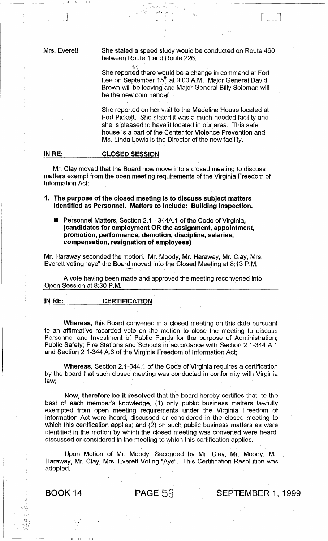Mrs. Everett

 $\Box~$ 

She stated a speed study would be conducted on Route 460 between Route 1 and Route 226.

 $\overline{\phantom{a}}$ 

She reported there would be a change in command at Fort Lee on September 15<sup>th</sup> at 9:00 A.M. Major General David Brown will be leaving and Major General Billy Soloman will be the new commander.

She reported on her visit to the Madeline House located at Fort Pickett. She stated it was a much-needed facility and she is pleased to have it iocated in our area. This safe house is a part of the Center for Violence Prevention and Ms. Linda Lewis is the Director of the new facility.

#### IN RE: CLOSED SESSION

Mr. Clay moved that the Board now move into a closed meeting to discuss matters exempt from the open meeting requirements of the Virginia Freedom of Information Act:

\_\_\_\_\_\_\_\_\_\_\_\_ ~ \_\_ ~~~~·~'L~I;~J.~ \_\_\_\_\_\_\_\_\_\_\_\_ ~~~ \_\_\_\_\_\_ ,------~~--------\_\_\_\_\_\_\_\_\_\_\_\_\_\_ \_

 $\sim$ 

1. The purpose of the closed meeting is to discuss subject matters identified as Personnel. Matters to include: Building Inspection.

**EXECT:** Personnel Matters, Section 2.1 - 344A.1 of the Code of Virginia, (candidates for employment OR the assignment, appointment, promotion, performance, demotion, discipline, salaries, compensation, resignation of employees)

Mr. Haraway seconded the motion. Mr. Moody, Mr. Haraway, Mr. Clay, Mrs. Everett voting "aye" the Board moved into the Closed Meeting at 8:13 P.M.

A vote having been made and approved the meeting reconvened into Open Session at 8:30 P.M.

#### IN RE: CERTIFICATION

Whereas, this Board convened in a closed meeting on this date pursuant to an affirmative recorded vote on the motion to close the meeting to discuss Personnel and Investment of Public Funds for the purpose of Administration; Public Safety; Fire Stations and Schools in accordance with Section 2.1-344 A1 and Section 2.1-344 A.6 of the Virginia Freedom of Information Act;

Whereas, Section 2.1-344.1 of the Code of Virginia requires a certification by the board that such closed meeting was conducted in conformity with Virginia law:

Now, therefore be it resolved that the board hereby certifies that, to the best of each member's knowledge, (1) only public business matters lawfully exempted from open meeting requirements under the Virginia Freedom of Information Act were heard, discussed or considered in the closed meeting to which this certification applies; and (2) on such public business matters as were identified in the motion by which the closed meeting was convened were heard, discussed or considered in the meeting to which this certification applies.

Upon Motion of Mr. Moody, Seconded by Mr. Clay, Mr. Moody, Mr. Haraway, Mr. Clay, Mrs. Everett Voting<sup>1</sup> "Aye". This Certification Resolution was adopted.

'. ;  $\lambda$  '  $\lambda$ 

ilil ''' ilil <sup>a</sup>ir ilil <sup>a</sup>ir ili